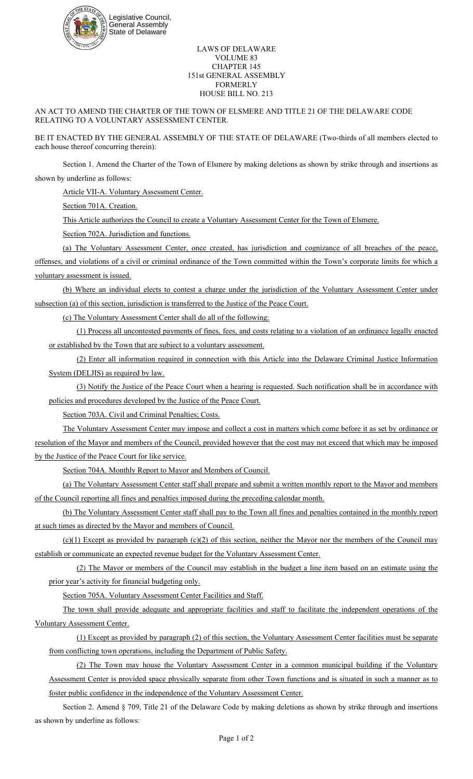

## LAWS OF DELAWARE VOLUME 83 CHAPTER 145 151st GENERAL ASSEMBLY FORMERLY HOUSE BILL NO. 213

AN ACT TO AMEND THE CHARTER OF THE TOWN OF ELSMERE AND TITLE 21 OF THE DELAWARE CODE RELATING TO A VOLUNTARY ASSESSMENT CENTER.

BE IT ENACTED BY THE GENERAL ASSEMBLY OF THE STATE OF DELAWARE (Two-thirds of all members elected to each house thereof concurring therein):

Section 1. Amend the Charter of the Town of Elsmere by making deletions as shown by strike through and insertions as shown by underline as follows:

Article VII-A. Voluntary Assessment Center.

Section 701A. Creation.

This Article authorizes the Council to create a Voluntary Assessment Center for the Town of Elsmere.

Section 702A. Jurisdiction and functions.

(a) The Voluntary Assessment Center, once created, has jurisdiction and cognizance of all breaches of the peace, offenses, and violations of a civil or criminal ordinance of the Town committed within the Town's corporate limits for which a voluntary assessment is issued.

(b) Where an individual elects to contest a charge under the jurisdiction of the Voluntary Assessment Center under subsection (a) of this section, jurisdiction is transferred to the Justice of the Peace Court.

(c) The Voluntary Assessment Center shall do all of the following:

(1) Process all uncontested payments of fines, fees, and costs relating to a violation of an ordinance legally enacted or established by the Town that are subject to a voluntary assessment.

(2) Enter all information required in connection with this Article into the Delaware Criminal Justice Information System (DELJIS) as required by law.

(3) Notify the Justice of the Peace Court when a hearing is requested. Such notification shall be in accordance with policies and procedures developed by the Justice of the Peace Court.

Section 703A. Civil and Criminal Penalties; Costs.

The Voluntary Assessment Center may impose and collect a cost in matters which come before it as set by ordinance or resolution of the Mayor and members of the Council, provided however that the cost may not exceed that which may be imposed by the Justice of the Peace Court for like service.

Section 704A. Monthly Report to Mayor and Members of Council.

(a) The Voluntary Assessment Center staff shall prepare and submit a written monthly report to the Mayor and members of the Council reporting all fines and penalties imposed during the preceding calendar month.

(b) The Voluntary Assessment Center staff shall pay to the Town all fines and penalties contained in the monthly report at such times as directed by the Mayor and members of Council.

 $(c)(1)$  Except as provided by paragraph  $(c)(2)$  of this section, neither the Mayor nor the members of the Council may establish or communicate an expected revenue budget for the Voluntary Assessment Center.

(2) The Mayor or members of the Council may establish in the budget a line item based on an estimate using the prior year's activity for financial budgeting only.

Section 705A. Voluntary Assessment Center Facilities and Staff.

The town shall provide adequate and appropriate facilities and staff to facilitate the independent operations of the Voluntary Assessment Center.

(1) Except as provided by paragraph (2) of this section, the Voluntary Assessment Center facilities must be separate from conflicting town operations, including the Department of Public Safety.

(2) The Town may house the Voluntary Assessment Center in a common municipal building if the Voluntary Assessment Center is provided space physically separate from other Town functions and is situated in such a manner as to foster public confidence in the independence of the Voluntary Assessment Center.

Section 2. Amend § 709, Title 21 of the Delaware Code by making deletions as shown by strike through and insertions as shown by underline as follows: